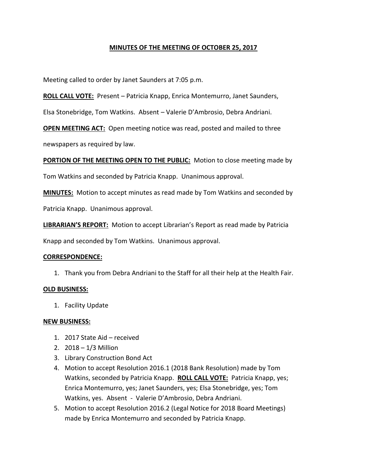# **MINUTES OF THE MEETING OF OCTOBER 25, 2017**

Meeting called to order by Janet Saunders at 7:05 p.m.

**ROLL CALL VOTE:** Present – Patricia Knapp, Enrica Montemurro, Janet Saunders,

Elsa Stonebridge, Tom Watkins. Absent – Valerie D'Ambrosio, Debra Andriani.

**OPEN MEETING ACT:** Open meeting notice was read, posted and mailed to three newspapers as required by law.

**PORTION OF THE MEETING OPEN TO THE PUBLIC:** Motion to close meeting made by

Tom Watkins and seconded by Patricia Knapp. Unanimous approval.

**MINUTES:** Motion to accept minutes as read made by Tom Watkins and seconded by

Patricia Knapp. Unanimous approval.

**LIBRARIAN'S REPORT:** Motion to accept Librarian's Report as read made by Patricia

Knapp and seconded by Tom Watkins. Unanimous approval.

#### **CORRESPONDENCE:**

1. Thank you from Debra Andriani to the Staff for all their help at the Health Fair.

#### **OLD BUSINESS:**

1. Facility Update

### **NEW BUSINESS:**

- 1. 2017 State Aid received
- 2. 2018 1/3 Million
- 3. Library Construction Bond Act
- 4. Motion to accept Resolution 2016.1 (2018 Bank Resolution) made by Tom Watkins, seconded by Patricia Knapp. **ROLL CALL VOTE:** Patricia Knapp, yes; Enrica Montemurro, yes; Janet Saunders, yes; Elsa Stonebridge, yes; Tom Watkins, yes. Absent - Valerie D'Ambrosio, Debra Andriani.
- 5. Motion to accept Resolution 2016.2 (Legal Notice for 2018 Board Meetings) made by Enrica Montemurro and seconded by Patricia Knapp.